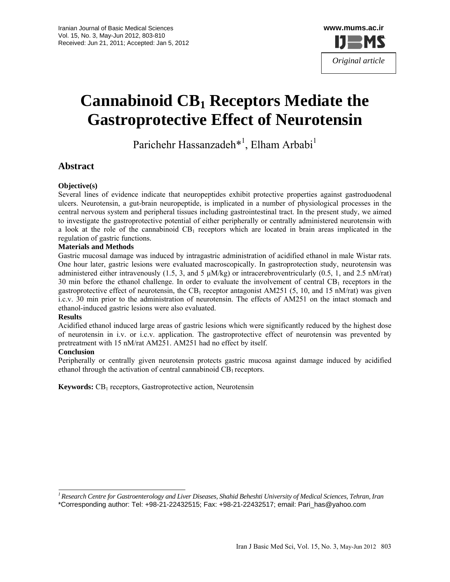

# **Cannabinoid CB1 Receptors Mediate the Gastroprotective Effect of Neurotensin**

Parichehr Hassanzadeh<sup>\*1</sup>, Elham Arbabi<sup>1</sup>

# **Abstract**

#### **Objective(s)**

Several lines of evidence indicate that neuropeptides exhibit protective properties against gastroduodenal ulcers. Neurotensin, a gut-brain neuropeptide, is implicated in a number of physiological processes in the central nervous system and peripheral tissues including gastrointestinal tract. In the present study, we aimed to investigate the gastroprotective potential of either peripherally or centrally administered neurotensin with a look at the role of the cannabinoid  $CB_1$  receptors which are located in brain areas implicated in the regulation of gastric functions.

#### **Materials and Methods**

Gastric mucosal damage was induced by intragastric administration of acidified ethanol in male Wistar rats. One hour later, gastric lesions were evaluated macroscopically. In gastroprotection study, neurotensin was administered either intravenously (1.5, 3, and 5  $\mu M/kg$ ) or intracerebroventricularly (0.5, 1, and 2.5 nM/rat) 30 min before the ethanol challenge. In order to evaluate the involvement of central  $CB<sub>1</sub>$  receptors in the gastroprotective effect of neurotensin, the CB<sub>1</sub> receptor antagonist AM251 (5, 10, and 15 nM/rat) was given i.c.v. 30 min prior to the administration of neurotensin. The effects of AM251 on the intact stomach and ethanol-induced gastric lesions were also evaluated.

#### **Results**

Acidified ethanol induced large areas of gastric lesions which were significantly reduced by the highest dose of neurotensin in i.v. or i.c.v. application. The gastroprotective effect of neurotensin was prevented by pretreatment with 15 nM/rat AM251. AM251 had no effect by itself.

#### **Conclusion**

Peripherally or centrally given neurotensin protects gastric mucosa against damage induced by acidified ethanol through the activation of central cannabinoid  $CB_1$  receptors.

**Keywords:** CB1 receptors, Gastroprotective action, Neurotensin

*<sup>1</sup> Research Centre for Gastroenterology and Liver Diseases, Shahid Beheshti University of Medical Sciences, Tehran, Iran* 

<sup>\*</sup>Corresponding author: Tel: +98-21-22432515; Fax: +98-21-22432517; email: Pari\_has@yahoo.com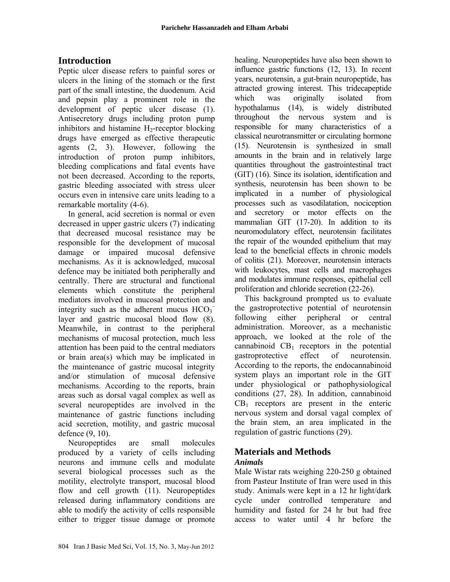# **Introduction**

Peptic ulcer disease refers to painful sores or ulcers in the lining of the stomach or the first part of the small intestine, the duodenum. Acid and pepsin play a prominent role in the development of peptic ulcer disease (1). Antisecretory drugs including proton pump inhibitors and histamine  $H_2$ -receptor blocking drugs have emerged as effective therapeutic agents (2, 3). However, following the introduction of proton pump inhibitors, bleeding complications and fatal events have not been decreased. According to the reports, gastric bleeding associated with stress ulcer occurs even in intensive care units leading to a remarkable mortality (4-6).

In general, acid secretion is normal or even decreased in upper gastric ulcers (7) indicating that decreased mucosal resistance may be responsible for the development of mucosal damage or impaired mucosal defensive mechanisms. As it is acknowledged, mucosal defence may be initiated both peripherally and centrally. There are structural and functional elements which constitute the peripheral mediators involved in mucosal protection and integrity such as the adherent mucus  $HCO_3^$ layer and gastric mucosal blood flow (8). Meanwhile, in contrast to the peripheral mechanisms of mucosal protection, much less attention has been paid to the central mediators or brain area(s) which may be implicated in the maintenance of gastric mucosal integrity and/or stimulation of mucosal defensive mechanisms. According to the reports, brain areas such as dorsal vagal complex as well as several neuropeptides are involved in the maintenance of gastric functions including acid secretion, motility, and gastric mucosal defence (9, 10).

Neuropeptides are small molecules produced by a variety of cells including neurons and immune cells and modulate several biological processes such as the motility, electrolyte transport, mucosal blood flow and cell growth (11). Neuropeptides released during inflammatory conditions are able to modify the activity of cells responsible either to trigger tissue damage or promote healing. Neuropeptides have also been shown to influence gastric functions (12, 13). In recent years, neurotensin, a gut-brain neuropeptide, has attracted growing interest. This tridecapeptide which was originally isolated from hypothalamus (14), is widely distributed throughout the nervous system and is responsible for many characteristics of a classical neurotransmitter or circulating hormone (15). Neurotensin is synthesized in small amounts in the brain and in relatively large quantities throughout the gastrointestinal tract (GIT) (16). Since its isolation, identification and synthesis, neurotensin has been shown to be implicated in a number of physiological processes such as vasodilatation, nociception and secretory or motor effects on the mammalian GIT (17-20). In addition to its neuromodulatory effect, neurotensin facilitates the repair of the wounded epithelium that may lead to the beneficial effects in chronic models of colitis (21). Moreover, neurotensin interacts with leukocytes, mast cells and macrophages and modulates immune responses, epithelial cell proliferation and chloride secretion (22-26).

This background prompted us to evaluate the gastroprotective potential of neurotensin following either peripheral or central administration. Moreover, as a mechanistic approach, we looked at the role of the cannabinoid  $CB<sub>1</sub>$  receptors in the potential gastroprotective effect of neurotensin. According to the reports, the endocannabinoid system plays an important role in the GIT under physiological or pathophysiological conditions (27, 28). In addition, cannabinoid  $CB<sub>1</sub>$  receptors are present in the enteric nervous system and dorsal vagal complex of the brain stem, an area implicated in the regulation of gastric functions (29).

# **Materials and Methods**

#### *Animals*

Male Wistar rats weighing 220-250 g obtained from Pasteur Institute of Iran were used in this study. Animals were kept in a 12 hr light/dark cycle under controlled temperature and humidity and fasted for 24 hr but had free access to water until 4 hr before the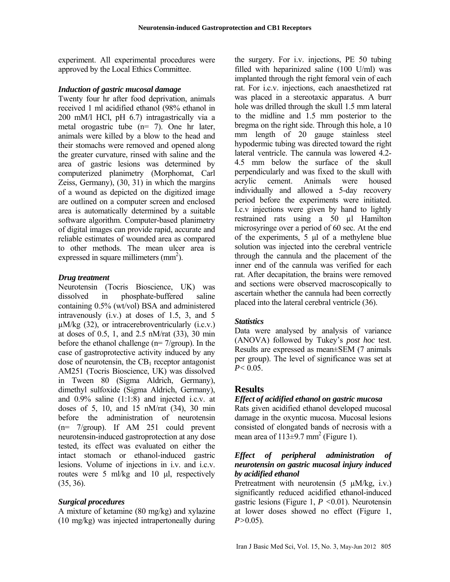experiment. All experimental procedures were approved by the Local Ethics Committee.

#### *Induction of gastric mucosal damage*

Twenty four hr after food deprivation, animals received 1 ml acidified ethanol (98% ethanol in 200 mM/l HCl, pH 6.7) intragastrically via a metal orogastric tube (n= 7). One hr later, animals were killed by a blow to the head and their stomachs were removed and opened along the greater curvature, rinsed with saline and the area of gastric lesions was determined by computerized planimetry (Morphomat, Carl Zeiss, Germany), (30, 31) in which the margins of a wound as depicted on the digitized image are outlined on a computer screen and enclosed area is automatically determined by a suitable software algorithm. Computer-based planimetry of digital images can provide rapid, accurate and reliable estimates of wounded area as compared to other methods. The mean ulcer area is expressed in square millimeters  $(mm^2)$ .

#### *Drug treatment*

Neurotensin (Tocris Bioscience, UK) was dissolved in phosphate-buffered saline containing 0.5% (wt/vol) BSA and administered intravenously (i.v.) at doses of 1.5, 3, and 5  $\mu$ M/kg (32), or intracerebroventricularly (i.c.v.) at doses of 0.5, 1, and 2.5 nM/rat (33), 30 min before the ethanol challenge (n= 7/group). In the case of gastroprotective activity induced by any dose of neurotensin, the  $CB<sub>1</sub>$  receptor antagonist AM251 (Tocris Bioscience, UK) was dissolved in Tween 80 (Sigma Aldrich, Germany), dimethyl sulfoxide (Sigma Aldrich, Germany), and 0.9% saline (1:1:8) and injected i.c.v. at doses of 5, 10, and 15 nM/rat (34), 30 min before the administration of neurotensin (n= 7/group). If AM 251 could prevent neurotensin-induced gastroprotection at any dose tested, its effect was evaluated on either the intact stomach or ethanol-induced gastric lesions. Volume of injections in i.v. and i.c.v. routes were 5 ml/kg and 10 μl, respectively (35, 36).

#### *Surgical procedures*

A mixture of ketamine (80 mg/kg) and xylazine (10 mg/kg) was injected intrapertoneally during the surgery. For i.v. injections, PE 50 tubing filled with heparinized saline (100 U/ml) was implanted through the right femoral vein of each rat. For i.c.v. injections, each anaesthetized rat was placed in a stereotaxic apparatus. A burr hole was drilled through the skull 1.5 mm lateral to the midline and 1.5 mm posterior to the bregma on the right side. Through this hole, a 10 mm length of 20 gauge stainless steel hypodermic tubing was directed toward the right lateral ventricle. The cannula was lowered 4.2- 4.5 mm below the surface of the skull perpendicularly and was fixed to the skull with acrylic cement. Animals were housed individually and allowed a 5-day recovery period before the experiments were initiated. I.c.v injections were given by hand to lightly restrained rats using a 50 µl Hamilton microsyringe over a period of 60 sec. At the end of the experiments, 5 μl of a methylene blue solution was injected into the cerebral ventricle through the cannula and the placement of the inner end of the cannula was verified for each rat. After decapitation, the brains were removed and sections were observed macroscopically to ascertain whether the cannula had been correctly placed into the lateral cerebral ventricle (36).

#### *Statistics*

Data were analysed by analysis of variance (ANOVA) followed by Tukey's *post hoc* test. Results are expressed as mean±SEM (7 animals per group). The level of significance was set at  $P < 0.05$ .

#### **Results**

#### *Effect of acidified ethanol on gastric mucosa*

Rats given acidified ethanol developed mucosal damage in the oxyntic mucosa. Mucosal lesions consisted of elongated bands of necrosis with a mean area of  $113\pm9.7$  mm<sup>2</sup> (Figure 1).

#### *Effect of peripheral administration of neurotensin on gastric mucosal injury induced by acidified ethanol*

Pretreatment with neurotensin  $(5 \mu M/kg, i.v.)$ significantly reduced acidified ethanol-induced gastric lesions (Figure 1, *P <*0.01). Neurotensin at lower doses showed no effect (Figure 1, *P>*0.05).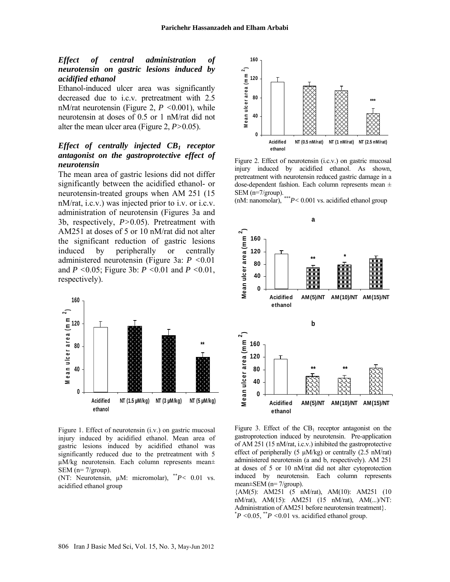#### *Effect of central administration of neurotensin on gastric lesions induced by acidified ethanol*

Ethanol-induced ulcer area was significantly decreased due to i.c.v. pretreatment with 2.5 nM/rat neurotensin (Figure 2, *P <*0.001), while neurotensin at doses of 0.5 or 1 nM/rat did not alter the mean ulcer area (Figure 2, *P>*0.05).

#### *Effect of centrally injected CB1 receptor antagonist on the gastroprotective effect of neurotensin*

The mean area of gastric lesions did not differ significantly between the acidified ethanol- or neurotensin-treated groups when AM 251 (15 nM/rat, i.c.v.) was injected prior to i.v. or i.c.v. administration of neurotensin (Figures 3a and 3b, respectively, *P>*0.05). Pretreatment with AM251 at doses of 5 or 10 nM/rat did not alter the significant reduction of gastric lesions induced by peripherally or centrally administered neurotensin (Figure 3a: *P <*0.01 and *P <*0.05; Figure 3b: *P <*0.01 and *P <*0.01, respectively).



Figure 1. Effect of neurotensin (i.v.) on gastric mucosal injury induced by acidified ethanol. Mean area of gastric lesions induced by acidified ethanol was significantly reduced due to the pretreatment with 5 µM/kg neurotensin. Each column represents mean± SEM (n= 7/group).

(NT: Neurotensin, µM: micromolar), \*\**P<* 0.01 vs. acidified ethanol group



Figure 2. Effect of neurotensin (i.c.v.) on gastric mucosal injury induced by acidified ethanol. As shown, pretreatment with neurotensin reduced gastric damage in a dose-dependent fashion. Each column represents mean ± SEM (n=7/group).

(nM: nanomolar), \*\*\**P<* 0.001 vs. acidified ethanol group



Figure 3. Effect of the  $CB_1$  receptor antagonist on the gastroprotection induced by neurotensin. Pre-application of AM 251 (15 nM/rat, i.c.v.) inhibited the gastroprotective effect of peripherally (5  $\mu$ M/kg) or centrally (2.5 nM/rat) administered neurotensin (a and b, respectively). AM 251 at doses of 5 or 10 nM/rat did not alter cytoprotection induced by neurotensin. Each column represents mean±SEM (n= 7/group).

{AM(5): AM251 (5 nM/rat), AM(10): AM251 (10 nM/rat), AM(15): AM251 (15 nM/rat), AM(...)/NT: Administration of AM251 before neurotensin treatment}.  $*P < 0.05$ ,  $*P < 0.01$  vs. acidified ethanol group.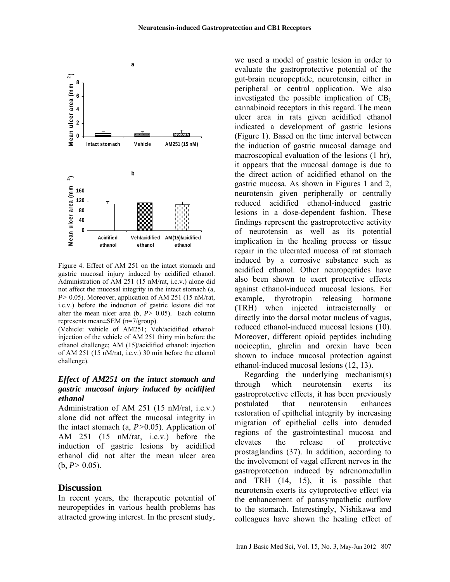

Figure 4. Effect of AM 251 on the intact stomach and gastric mucosal injury induced by acidified ethanol. Administration of AM 251 (15 nM/rat, i.c.v.) alone did not affect the mucosal integrity in the intact stomach (a, *P>* 0.05). Moreover, application of AM 251 (15 nM/rat, i.c.v.) before the induction of gastric lesions did not alter the mean ulcer area  $(b, P> 0.05)$ . Each column represents mean±SEM (n=7/group).

(Vehicle: vehicle of AM251; Veh/acidified ethanol: injection of the vehicle of AM 251 thirty min before the ethanol challenge; AM (15)/acidified ethanol: injection of AM 251 (15 nM/rat, i.c.v.) 30 min before the ethanol challenge).

#### *Effect of AM251 on the intact stomach and gastric mucosal injury induced by acidified ethanol*

Administration of AM 251 (15 nM/rat, i.c.v.) alone did not affect the mucosal integrity in the intact stomach (a, *P>*0.05). Application of AM 251 (15 nM/rat, i.c.v.) before the induction of gastric lesions by acidified ethanol did not alter the mean ulcer area  $(b, P> 0.05)$ .

#### **Discussion**

In recent years, the therapeutic potential of neuropeptides in various health problems has attracted growing interest. In the present study,

we used a model of gastric lesion in order to evaluate the gastroprotective potential of the gut-brain neuropeptide, neurotensin, either in peripheral or central application. We also investigated the possible implication of  $CB<sub>1</sub>$ cannabinoid receptors in this regard. The mean ulcer area in rats given acidified ethanol indicated a development of gastric lesions (Figure 1). Based on the time interval between the induction of gastric mucosal damage and macroscopical evaluation of the lesions (1 hr), it appears that the mucosal damage is due to the direct action of acidified ethanol on the gastric mucosa. As shown in Figures 1 and 2, neurotensin given peripherally or centrally reduced acidified ethanol-induced gastric lesions in a dose-dependent fashion. These findings represent the gastroprotective activity of neurotensin as well as its potential implication in the healing process or tissue repair in the ulcerated mucosa of rat stomach induced by a corrosive substance such as acidified ethanol. Other neuropeptides have also been shown to exert protective effects against ethanol-induced mucosal lesions. For example, thyrotropin releasing hormone (TRH) when injected intracisternally or directly into the dorsal motor nucleus of vagus, reduced ethanol-induced mucosal lesions (10). Moreover, different opioid peptides including nociceptin, ghrelin and orexin have been shown to induce mucosal protection against ethanol-induced mucosal lesions (12, 13).

Regarding the underlying mechanism(s) through which neurotensin exerts its gastroprotective effects, it has been previously postulated that neurotensin enhances restoration of epithelial integrity by increasing migration of epithelial cells into denuded regions of the gastrointestinal mucosa and elevates the release of protective prostaglandins (37). In addition, according to the involvement of vagal efferent nerves in the gastroprotection induced by adrenomedullin and TRH (14, 15), it is possible that neurotensin exerts its cytoprotective effect via the enhancement of parasympathetic outflow to the stomach. Interestingly, Nishikawa and colleagues have shown the healing effect of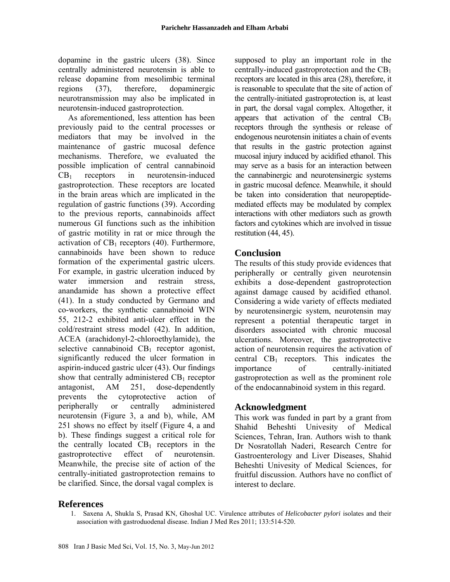dopamine in the gastric ulcers (38). Since centrally administered neurotensin is able to release dopamine from mesolimbic terminal regions (37), therefore, dopaminergic neurotransmission may also be implicated in neurotensin-induced gastroprotection.

As aforementioned, less attention has been previously paid to the central processes or mediators that may be involved in the maintenance of gastric mucosal defence mechanisms. Therefore, we evaluated the possible implication of central cannabinoid  $CB<sub>1</sub>$  receptors in neurotensin-induced gastroprotection. These receptors are located in the brain areas which are implicated in the regulation of gastric functions (39). According to the previous reports, cannabinoids affect numerous GI functions such as the inhibition of gastric motility in rat or mice through the activation of  $CB<sub>1</sub>$  receptors (40). Furthermore, cannabinoids have been shown to reduce formation of the experimental gastric ulcers. For example, in gastric ulceration induced by water immersion and restrain stress anandamide has shown a protective effect (41). In a study conducted by Germano and co-workers, the synthetic cannabinoid WIN 55, 212-2 exhibited anti-ulcer effect in the cold/restraint stress model (42). In addition, ACEA (arachidonyl-2-chloroethylamide), the selective cannabinoid  $CB_1$  receptor agonist, significantly reduced the ulcer formation in aspirin-induced gastric ulcer (43). Our findings show that centrally administered  $CB<sub>1</sub>$  receptor antagonist, AM 251, dose-dependently prevents the cytoprotective action of peripherally or centrally administered neurotensin (Figure 3, a and b), while, AM 251 shows no effect by itself (Figure 4, a and b). These findings suggest a critical role for the centrally located  $CB_1$  receptors in the gastroprotective effect of neurotensin. Meanwhile, the precise site of action of the centrally-initiated gastroprotection remains to be clarified. Since, the dorsal vagal complex is

supposed to play an important role in the centrally-induced gastroprotection and the  $CB<sub>1</sub>$ receptors are located in this area (28), therefore, it is reasonable to speculate that the site of action of the centrally-initiated gastroprotection is, at least in part, the dorsal vagal complex. Altogether, it appears that activation of the central  $CB<sub>1</sub>$ receptors through the synthesis or release of endogenous neurotensin initiates a chain of events that results in the gastric protection against mucosal injury induced by acidified ethanol. This may serve as a basis for an interaction between the cannabinergic and neurotensinergic systems in gastric mucosal defence. Meanwhile, it should be taken into consideration that neuropeptidemediated effects may be modulated by complex interactions with other mediators such as growth factors and cytokines which are involved in tissue restitution (44, 45).

# **Conclusion**

The results of this study provide evidences that peripherally or centrally given neurotensin exhibits a dose-dependent gastroprotection against damage caused by acidified ethanol. Considering a wide variety of effects mediated by neurotensinergic system, neurotensin may represent a potential therapeutic target in disorders associated with chronic mucosal ulcerations. Moreover, the gastroprotective action of neurotensin requires the activation of central  $CB_1$  receptors. This indicates the importance of centrally-initiated gastroprotection as well as the prominent role of the endocannabinoid system in this regard.

# **Acknowledgment**

This work was funded in part by a grant from Shahid Beheshti Univesity of Medical Sciences, Tehran, Iran. Authors wish to thank Dr Nosratollah Naderi, Research Centre for Gastroenterology and Liver Diseases, Shahid Beheshti Univesity of Medical Sciences, for fruitful discussion. Authors have no conflict of interest to declare.

# **References**

1. Saxena A, Shukla S, Prasad KN, Ghoshal UC. Virulence attributes of *Helicobacter pylori* isolates and their association with gastroduodenal disease. Indian J Med Res 2011; 133:514-520.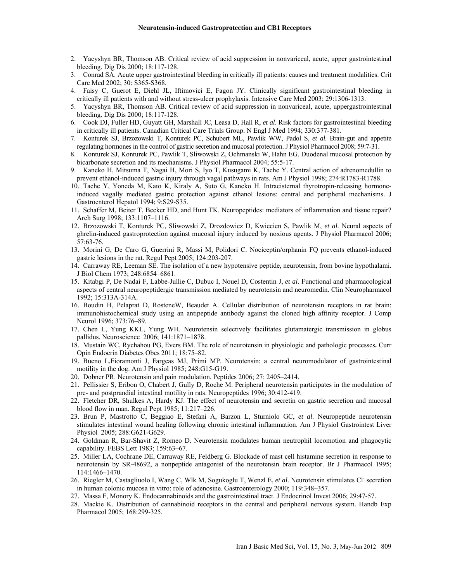- 2. Yacyshyn BR, Thomson AB. Critical review of acid suppression in nonvariceal, acute, upper gastrointestinal bleeding. Dig Dis 2000; 18:117-128.
- 3. Conrad SA. Acute upper gastrointestinal bleeding in critically ill patients: causes and treatment modalities. Crit Care Med 2002; 30: S365-S368.
- 4. Faisy C, Guerot E, Diehl JL, Iftimovici E, Fagon JY. Clinically significant gastrointestinal bleeding in critically ill patients with and without stress-ulcer prophylaxis. Intensive Care Med 2003; 29:1306-1313.
- 5. Yacyshyn BR, Thomson AB. Critical review of acid suppression in nonvariceal, acute, uppergastrointestinal bleeding. Dig Dis 2000; 18:117-128.
- 6. Cook DJ, Fuller HD, Guyatt GH, Marshall JC, Leasa D, Hall R, *et al*. Risk factors for gastrointestinal bleeding in critically ill patients. Canadian Critical Care Trials Group. N Engl J Med 1994; 330:377-381.
- 7. Konturek SJ, Brzozowski T, Konturek PC, Schubert ML, Pawlik WW, Padol S, *et al.* Brain-gut and appetite regulating hormones in the control of gastric secretion and mucosal protection. J Physiol Pharmacol 2008; 59:7-31.
- 8. Konturek SJ, Konturek PC, Pawlik T, Sliwowski Z, Ochmanski W, Hahn EG. Duodenal mucosal protection by bicarbonate secretion and its mechanisms. J Physiol Pharmacol 2004; 55:5-17.
- 9. Kaneko H, Mitsuma T, Nagai H, Mori S, Iyo T, Kusugami K, Tache Y. Central action of adrenomedullin to prevent ethanol-induced gastric injury through vagal pathways in rats. Am J Physiol 1998; 274:R1783-R1788.
- 10. Tache Y, Yoneda M, Kato K, Kiraly A, Suto G, Kaneko H. Intracisternal thyrotropin-releasing hormoneinduced vagally mediated gastric protection against ethanol lesions: central and peripheral mechanisms. J Gastroenterol Hepatol 1994; 9:S29-S35.
- 11. Schaffer M, Beiter T, Becker HD, and Hunt TK. Neuropeptides: mediators of inflammation and tissue repair? Arch Surg 1998; 133:1107–1116.
- 12. Brzozowski T, Konturek PC, Sliwowski Z, Drozdowicz D, Kwiecien S, Pawlik M, *et al.* Neural aspects of ghrelin-induced gastroprotection against mucosal injury induced by noxious agents. J Physiol Pharmacol 2006; 57:63-76.
- 13. Morini G, De Caro G, Guerrini R, Massi M, Polidori C. Nociceptin/orphanin FQ prevents ethanol-induced gastric lesions in the rat. Regul Pept 2005; 124:203-207.
- 14. Carraway RE, Leeman SE. The isolation of a new hypotensive peptide, neurotensin, from bovine hypothalami. J Biol Chem 1973; 248:6854–6861.
- 15. Kitabgi P, De Nadai F, Labbe-Jullie C, Dubuc I, Nouel D, Costentin J, *et al.* Functional and pharmacological aspects of central neuropeptidergic transmission mediated by neurotensin and neuromedin. Clin Neuropharmacol 1992; 15:313A-314A.
- 16. Boudin H, Pelaprat D, RosteneW, Beaudet A. Cellular distribution of neurotensin receptors in rat brain: immunohistochemical study using an antipeptide antibody against the cloned high affinity receptor. J Comp Neurol 1996; 373:76–89.
- 17. Chen L, Yung KKL, Yung WH. Neurotensin selectively facilitates glutamatergic transmission in globus pallidus. Neuroscience 2006; 141:1871–1878.
- 18. Mustain WC, Rychahou PG, Evers BM. The role of neurotensin in physiologic and pathologic processes**.** Curr Opin Endocrin Diabetes Obes 2011; 18:75–82.
- 19. Bueno L,Fioramonti J, Fargeas MJ, Primi MP. Neurotensin: a central neuromodulator of gastrointestinal motility in the dog. Am J Physiol 1985; 248:G15-G19.
- 20. Dobner PR. Neurotensin and pain modulation. Peptides 2006; 27: 2405–2414.
- 21. Pellissier S, Eribon O, Chabert J, Gully D, Roche M. Peripheral neurotensin participates in the modulation of pre- and postprandial intestinal motility in rats. Neuropeptides 1996; 30:412-419.
- 22. Fletcher DR, Shulkes A, Hardy KJ. The effect of neurotensin and secretin on gastric secretion and mucosal blood flow in man. Regul Pept 1985; 11:217–226.
- 23. Brun P, Mastrotto C, Beggiao E, Stefani A, Barzon L, Sturniolo GC, *et al.* Neuropeptide neurotensin stimulates intestinal wound healing following chronic intestinal inflammation. Am J Physiol Gastrointest Liver Physiol 2005; 288:G621-G629.
- 24. Goldman R, Bar-Shavit Z, Romeo D. Neurotensin modulates human neutrophil locomotion and phagocytic capability. FEBS Lett 1983; 159:63–67.
- 25. Miller LA, Cochrane DE, Carraway RE, Feldberg G. Blockade of mast cell histamine secretion in response to neurotensin by SR-48692, a nonpeptide antagonist of the neurotensin brain receptor. Br J Pharmacol 1995; 114:1466–1470.
- 26. Riegler M, Castagliuolo I, Wang C, Wlk M, Sogukoglu T, Wenzl E, et al. Neurotensin stimulates Cl secretion in human colonic mucosa in vitro: role of adenosine. Gastroenterology 2000; 119:348–357.
- 27. Massa F, Monory K. Endocannabinoids and the gastrointestinal tract. J Endocrinol Invest 2006; 29:47-57.
- 28. Mackie K. Distribution of cannabinoid receptors in the central and peripheral nervous system. Handb Exp Pharmacol 2005; 168:299-325.